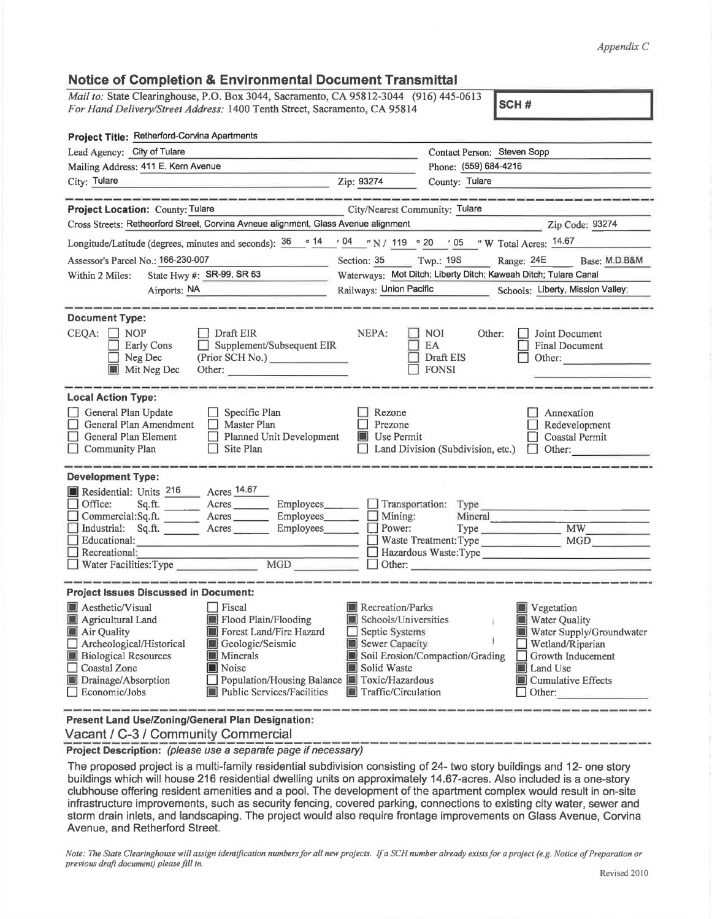*Appendix C* 

## **Notice of Completion & Environmental Document Transmittal**

Mail *to:* State Clearinghouse, P.O. Box 3044, Sacramento, CA 95812-3044 (916) 445-0613 *For Hand Delivery/Street Address:* 1400 Tenth Street, Sacramento, CA 95814

**SCH#** 

| Contact Person: Steven Sopp                                                                                                                                                                                                                                                                                                                                                                                                                            |  |  |  |  |
|--------------------------------------------------------------------------------------------------------------------------------------------------------------------------------------------------------------------------------------------------------------------------------------------------------------------------------------------------------------------------------------------------------------------------------------------------------|--|--|--|--|
| Phone: (559) 684-4216                                                                                                                                                                                                                                                                                                                                                                                                                                  |  |  |  |  |
| <u>2ip: 93274</u><br>County: Tulare                                                                                                                                                                                                                                                                                                                                                                                                                    |  |  |  |  |
| .<br>المسالة التناول المسالة المسالة المسالة المسالة المسالة المسالة المسالة المسالة المسالة المسالة المسالة المسال                                                                                                                                                                                                                                                                                                                                    |  |  |  |  |
| Project Location: County: Tulare<br>City/Nearest Community: Tulare                                                                                                                                                                                                                                                                                                                                                                                     |  |  |  |  |
| Cross Streets: Retheorford Street, Corvina Avneue alignment, Glass Avenue alignment<br>Zip Code: 93274                                                                                                                                                                                                                                                                                                                                                 |  |  |  |  |
| Longitude/Latitude (degrees, minutes and seconds): $\frac{36}{14}$ $\frac{64}{14}$ $\frac{104}{14}$ N / 119 $\degree$ 20 $\degree$ 05 "W Total Acres: $\frac{14.67}{14.67}$                                                                                                                                                                                                                                                                            |  |  |  |  |
| Section: 35 Twp.: 19S<br>Range: 24E Base: M.D.B&M                                                                                                                                                                                                                                                                                                                                                                                                      |  |  |  |  |
| Waterways: Mot Ditch; Liberty Ditch; Kaweah Ditch; Tulare Canal                                                                                                                                                                                                                                                                                                                                                                                        |  |  |  |  |
| Railways: Union Pacific Schools: Liberty, Mission Valley;                                                                                                                                                                                                                                                                                                                                                                                              |  |  |  |  |
|                                                                                                                                                                                                                                                                                                                                                                                                                                                        |  |  |  |  |
| NEPA:<br>NOI 1<br>Other:<br>Joint Document<br>Supplement/Subsequent EIR<br>EA<br><b>Final Document</b><br>(Prior SCH No.)<br>Draft EIS<br>Other:<br>$\Box$ FONSI<br>Other:                                                                                                                                                                                                                                                                             |  |  |  |  |
|                                                                                                                                                                                                                                                                                                                                                                                                                                                        |  |  |  |  |
| Rezone<br>Annexation<br>$\Box$ Prezone<br>Redevelopment<br>Planned Unit Development<br><b>Use Permit</b><br>Coastal Permit<br>□ Land Division (Subdivision, etc.) □ Other:                                                                                                                                                                                                                                                                             |  |  |  |  |
| Sq.ft. _________ Acres _________ Employees________<br>Transportation: Type                                                                                                                                                                                                                                                                                                                                                                             |  |  |  |  |
| Commercial:Sq.ft. Acres Employees Mining:<br>Mineral                                                                                                                                                                                                                                                                                                                                                                                                   |  |  |  |  |
| Type MW<br>Industrial: Sq.ft. _______ Acres _______ Employees_______<br>Power:                                                                                                                                                                                                                                                                                                                                                                         |  |  |  |  |
| Waste Treatment: Type MGD<br>Hazardous Waste:Type                                                                                                                                                                                                                                                                                                                                                                                                      |  |  |  |  |
| Other:                                                                                                                                                                                                                                                                                                                                                                                                                                                 |  |  |  |  |
|                                                                                                                                                                                                                                                                                                                                                                                                                                                        |  |  |  |  |
| <b>Project Issues Discussed in Document:</b>                                                                                                                                                                                                                                                                                                                                                                                                           |  |  |  |  |
| <b>Recreation/Parks</b><br><b>Vegetation</b><br>Schools/Universities<br>Water Quality<br>¥.<br>Water Supply/Groundwater<br>$\Box$ Septic Systems<br>Sewer Capacity<br>$\Box$ Wetland/Riparian<br>Soil Erosion/Compaction/Grading<br>$\Box$ Growth Inducement<br>Solid Waste<br>Land Use<br>Population/Housing Balance <b>TE</b> Toxic/Hazardous<br><b>III</b> Cumulative Effects<br>Public Services/Facilities<br>Traffic/Circulation<br>$\Box$ Other: |  |  |  |  |
|                                                                                                                                                                                                                                                                                                                                                                                                                                                        |  |  |  |  |

**Present Land Use/Zoning/General Plan Designation:**  Vacant / C-3 / Community Commercial

**Project Description:** (please use a separate page if necessary)

The proposed project is a multi-family residential subdivision consisting of 24- two story buildings and 12- one story buildings which will house 216 residential dwelling units on approximately 14.67-acres. Also included is a one-story clubhouse offering resident amenities and a pool. The development of the apartment complex would result in on-site infrastructure improvements, such as security fencing, covered parking, connections to existing city water, sewer and storm drain inlets, and landscaping. The project would also require frontage improvements on Glass Avenue, Corvina Avenue, and Retherford Street.

*Note: The State Clearinghouse will assign identification numbers for all new projects.* If a SCH number already exists for a project (e.g. Notice of Preparation or *previous draft document) please fill in.*